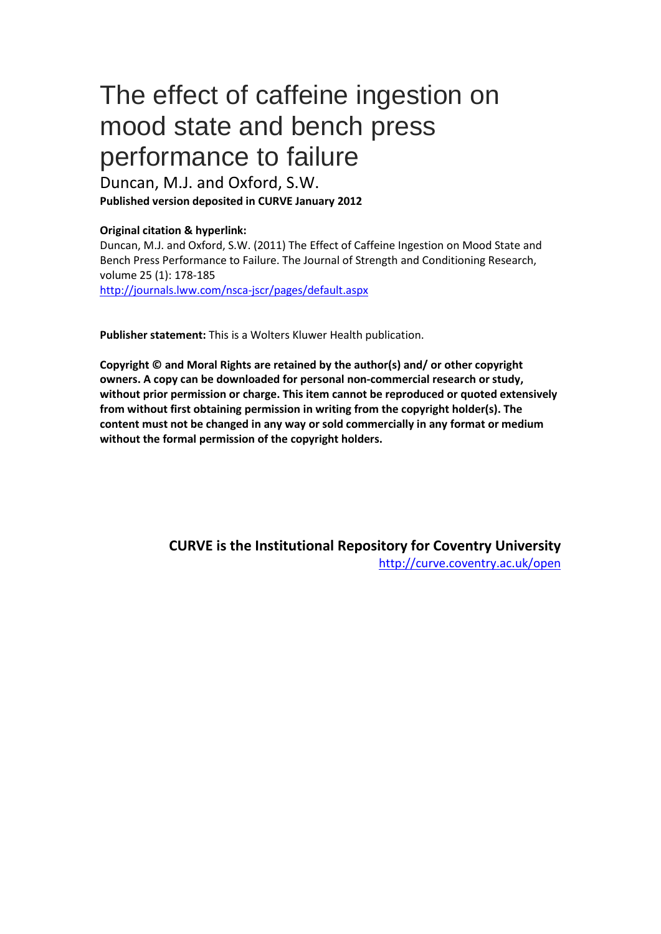# The effect of caffeine ingestion on mood state and bench press performance to failure

Duncan, M.J. and Oxford, S.W. **Published version deposited in CURVE January 2012**

# **Original citation & hyperlink:**

Duncan, M.J. and Oxford, S.W. (2011) The Effect of Caffeine Ingestion on Mood State and Bench Press Performance to Failure. The Journal of Strength and Conditioning Research, volume 25 (1): 178-185 http://journals.lww.com/nsca-jscr/pages/default.aspx

**Publisher statement:** This is a Wolters Kluwer Health publication.

**Copyright © and Moral Rights are retained by the author(s) and/ or other copyright owners. A copy can be downloaded for personal non-commercial research or study, without prior permission or charge. This item cannot be reproduced or quoted extensively from without first obtaining permission in writing from the copyright holder(s). The content must not be changed in any way or sold commercially in any format or medium without the formal permission of the copyright holders.** 

> **CURVE is the Institutional Repository for Coventry University** http://curve.coventry.ac.uk/open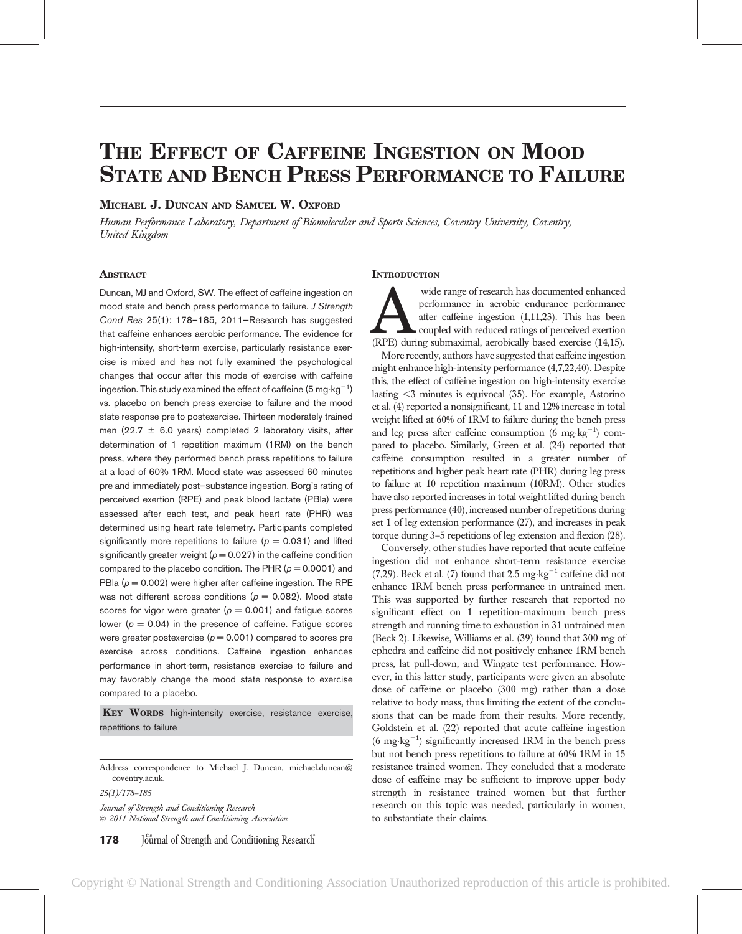# THE EFFECT OF CAFFEINE INGESTION ON MOOD STATE AND BENCH PRESS PERFORMANCE TO FAILURE

# MICHAEL J. DUNCAN AND SAMUEL W. OXFORD

Human Performance Laboratory, Department of Biomolecular and Sports Sciences, Coventry University, Coventry, United Kingdom

### **ABSTRACT**

Duncan, MJ and Oxford, SW. The effect of caffeine ingestion on mood state and bench press performance to failure. J Strength Cond Res 25(1): 178–185, 2011—Research has suggested that caffeine enhances aerobic performance. The evidence for high-intensity, short-term exercise, particularly resistance exercise is mixed and has not fully examined the psychological changes that occur after this mode of exercise with caffeine ingestion. This study examined the effect of caffeine (5 mg $\cdot$ kg $^{-1}$ ) vs. placebo on bench press exercise to failure and the mood state response pre to postexercise. Thirteen moderately trained men (22.7  $\pm$  6.0 years) completed 2 laboratory visits, after determination of 1 repetition maximum (1RM) on the bench press, where they performed bench press repetitions to failure at a load of 60% 1RM. Mood state was assessed 60 minutes pre and immediately post–substance ingestion. Borg's rating of perceived exertion (RPE) and peak blood lactate (PBla) were assessed after each test, and peak heart rate (PHR) was determined using heart rate telemetry. Participants completed significantly more repetitions to failure ( $p = 0.031$ ) and lifted significantly greater weight ( $p = 0.027$ ) in the caffeine condition compared to the placebo condition. The PHR ( $p = 0.0001$ ) and PBla ( $p = 0.002$ ) were higher after caffeine ingestion. The RPE was not different across conditions ( $p = 0.082$ ). Mood state scores for vigor were greater ( $p = 0.001$ ) and fatigue scores lower ( $p = 0.04$ ) in the presence of caffeine. Fatigue scores were greater postexercise ( $p = 0.001$ ) compared to scores pre exercise across conditions. Caffeine ingestion enhances performance in short-term, resistance exercise to failure and may favorably change the mood state response to exercise compared to a placebo.

KEY WORDS high-intensity exercise, resistance exercise, repetitions to failure

Address correspondence to Michael J. Duncan, michael.duncan@ coventry.ac.uk.

25(1)/178–185

Journal of Strength and Conditioning Research - 2011 National Strength and Conditioning Association



# **INTRODUCTION**

wide range of research has documented enhanced<br>performance in aerobic endurance performance<br>after caffeine ingestion (1,11,23). This has been<br>coupled with reduced ratings of perceived exercise<br>(14,15). performance in aerobic endurance performance after caffeine ingestion (1,11,23). This has been coupled with reduced ratings of perceived exertion

More recently, authors have suggested that caffeine ingestion might enhance high-intensity performance (4,7,22,40). Despite this, the effect of caffeine ingestion on high-intensity exercise lasting  $\leq$ 3 minutes is equivocal (35). For example, Astorino et al. (4) reported a nonsignificant, 11 and 12% increase in total weight lifted at 60% of 1RM to failure during the bench press and leg press after caffeine consumption  $(6 \text{ mg} \cdot \text{kg}^{-1})$  compared to placebo. Similarly, Green et al. (24) reported that caffeine consumption resulted in a greater number of repetitions and higher peak heart rate (PHR) during leg press to failure at 10 repetition maximum (10RM). Other studies have also reported increases in total weight lifted during bench press performance (40), increased number of repetitions during set 1 of leg extension performance (27), and increases in peak torque during 3–5 repetitions of leg extension and flexion (28).

Conversely, other studies have reported that acute caffeine ingestion did not enhance short-term resistance exercise (7,29). Beck et al. (7) found that  $2.5 \text{ mg} \cdot \text{kg}^{-1}$  caffeine did not enhance 1RM bench press performance in untrained men. This was supported by further research that reported no significant effect on 1 repetition-maximum bench press strength and running time to exhaustion in 31 untrained men (Beck 2). Likewise, Williams et al. (39) found that 300 mg of ephedra and caffeine did not positively enhance 1RM bench press, lat pull-down, and Wingate test performance. However, in this latter study, participants were given an absolute dose of caffeine or placebo (300 mg) rather than a dose relative to body mass, thus limiting the extent of the conclusions that can be made from their results. More recently, Goldstein et al. (22) reported that acute caffeine ingestion  $(6 \text{ mg} \cdot \text{kg}^{-1})$  significantly increased 1RM in the bench press but not bench press repetitions to failure at 60% 1RM in 15 resistance trained women. They concluded that a moderate dose of caffeine may be sufficient to improve upper body strength in resistance trained women but that further research on this topic was needed, particularly in women, to substantiate their claims.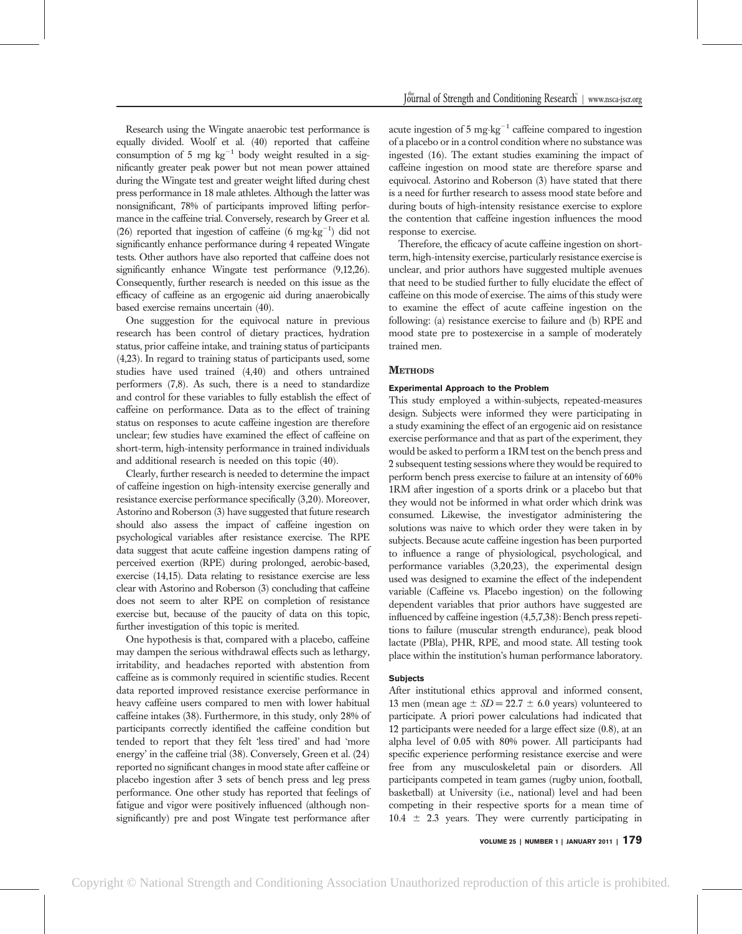Research using the Wingate anaerobic test performance is equally divided. Woolf et al. (40) reported that caffeine consumption of 5 mg  $kg^{-1}$  body weight resulted in a significantly greater peak power but not mean power attained during the Wingate test and greater weight lifted during chest press performance in 18 male athletes. Although the latter was nonsignificant, 78% of participants improved lifting performance in the caffeine trial. Conversely, research by Greer et al. (26) reported that ingestion of caffeine  $(6 \text{ mg} \cdot \text{kg}^{-1})$  did not significantly enhance performance during 4 repeated Wingate tests. Other authors have also reported that caffeine does not significantly enhance Wingate test performance  $(9,12,26)$ . Consequently, further research is needed on this issue as the efficacy of caffeine as an ergogenic aid during anaerobically based exercise remains uncertain (40).

One suggestion for the equivocal nature in previous research has been control of dietary practices, hydration status, prior caffeine intake, and training status of participants (4,23). In regard to training status of participants used, some studies have used trained (4,40) and others untrained performers (7,8). As such, there is a need to standardize and control for these variables to fully establish the effect of caffeine on performance. Data as to the effect of training status on responses to acute caffeine ingestion are therefore unclear; few studies have examined the effect of caffeine on short-term, high-intensity performance in trained individuals and additional research is needed on this topic (40).

Clearly, further research is needed to determine the impact of caffeine ingestion on high-intensity exercise generally and resistance exercise performance specifically (3,20). Moreover, Astorino and Roberson (3) have suggested that future research should also assess the impact of caffeine ingestion on psychological variables after resistance exercise. The RPE data suggest that acute caffeine ingestion dampens rating of perceived exertion (RPE) during prolonged, aerobic-based, exercise (14,15). Data relating to resistance exercise are less clear with Astorino and Roberson (3) concluding that caffeine does not seem to alter RPE on completion of resistance exercise but, because of the paucity of data on this topic, further investigation of this topic is merited.

One hypothesis is that, compared with a placebo, caffeine may dampen the serious withdrawal effects such as lethargy, irritability, and headaches reported with abstention from caffeine as is commonly required in scientific studies. Recent data reported improved resistance exercise performance in heavy caffeine users compared to men with lower habitual caffeine intakes (38). Furthermore, in this study, only 28% of participants correctly identified the caffeine condition but tended to report that they felt 'less tired' and had 'more energy' in the caffeine trial (38). Conversely, Green et al. (24) reported no significant changes in mood state after caffeine or placebo ingestion after 3 sets of bench press and leg press performance. One other study has reported that feelings of fatigue and vigor were positively influenced (although nonsignificantly) pre and post Wingate test performance after

acute ingestion of 5 mg·kg<sup>-1</sup> caffeine compared to ingestion of a placebo or in a control condition where no substance was ingested (16). The extant studies examining the impact of caffeine ingestion on mood state are therefore sparse and equivocal. Astorino and Roberson (3) have stated that there is a need for further research to assess mood state before and during bouts of high-intensity resistance exercise to explore the contention that caffeine ingestion influences the mood response to exercise.

Therefore, the efficacy of acute caffeine ingestion on shortterm, high-intensity exercise, particularly resistance exercise is unclear, and prior authors have suggested multiple avenues that need to be studied further to fully elucidate the effect of caffeine on this mode of exercise. The aims of this study were to examine the effect of acute caffeine ingestion on the following: (a) resistance exercise to failure and (b) RPE and mood state pre to postexercise in a sample of moderately trained men.

## **METHODS**

#### Experimental Approach to the Problem

This study employed a within-subjects, repeated-measures design. Subjects were informed they were participating in a study examining the effect of an ergogenic aid on resistance exercise performance and that as part of the experiment, they would be asked to perform a 1RM test on the bench press and 2 subsequent testing sessions where they would be required to perform bench press exercise to failure at an intensity of 60% 1RM after ingestion of a sports drink or a placebo but that they would not be informed in what order which drink was consumed. Likewise, the investigator administering the solutions was naive to which order they were taken in by subjects. Because acute caffeine ingestion has been purported to influence a range of physiological, psychological, and performance variables (3,20,23), the experimental design used was designed to examine the effect of the independent variable (Caffeine vs. Placebo ingestion) on the following dependent variables that prior authors have suggested are influenced by caffeine ingestion (4,5,7,38): Bench press repetitions to failure (muscular strength endurance), peak blood lactate (PBla), PHR, RPE, and mood state. All testing took place within the institution's human performance laboratory.

#### **Subjects**

After institutional ethics approval and informed consent, 13 men (mean age  $\pm SD = 22.7 \pm 6.0$  years) volunteered to participate. A priori power calculations had indicated that 12 participants were needed for a large effect size (0.8), at an alpha level of 0.05 with 80% power. All participants had specific experience performing resistance exercise and were free from any musculoskeletal pain or disorders. All participants competed in team games (rugby union, football, basketball) at University (i.e., national) level and had been competing in their respective sports for a mean time of  $10.4 \pm 2.3$  years. They were currently participating in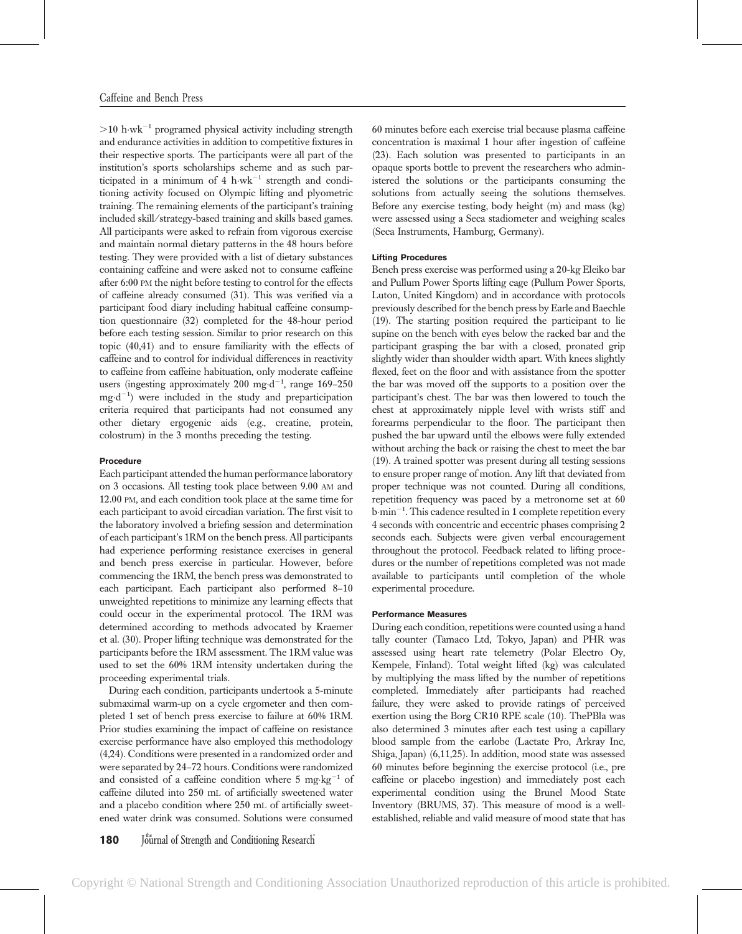$>$ 10 h $\cdot$ wk<sup>-1</sup> programed physical activity including strength and endurance activities in addition to competitive fixtures in their respective sports. The participants were all part of the institution's sports scholarships scheme and as such participated in a minimum of 4 h $\cdot$ wk<sup>-1</sup> strength and conditioning activity focused on Olympic lifting and plyometric training. The remaining elements of the participant's training included skill/strategy-based training and skills based games. All participants were asked to refrain from vigorous exercise and maintain normal dietary patterns in the 48 hours before testing. They were provided with a list of dietary substances containing caffeine and were asked not to consume caffeine after 6:00 PM the night before testing to control for the effects of caffeine already consumed (31). This was verified via a participant food diary including habitual caffeine consumption questionnaire (32) completed for the 48-hour period before each testing session. Similar to prior research on this topic (40,41) and to ensure familiarity with the effects of caffeine and to control for individual differences in reactivity to caffeine from caffeine habituation, only moderate caffeine users (ingesting approximately 200 mg·d<sup>-1</sup>, range 169-250  $mg \cdot d^{-1}$ ) were included in the study and preparticipation criteria required that participants had not consumed any other dietary ergogenic aids (e.g., creatine, protein, colostrum) in the 3 months preceding the testing.

# Procedure

Each participant attended the human performance laboratory on 3 occasions. All testing took place between 9.00 AM and 12.00 PM, and each condition took place at the same time for each participant to avoid circadian variation. The first visit to the laboratory involved a briefing session and determination of each participant's 1RM on the bench press. All participants had experience performing resistance exercises in general and bench press exercise in particular. However, before commencing the 1RM, the bench press was demonstrated to each participant. Each participant also performed 8–10 unweighted repetitions to minimize any learning effects that could occur in the experimental protocol. The 1RM was determined according to methods advocated by Kraemer et al. (30). Proper lifting technique was demonstrated for the participants before the 1RM assessment. The 1RM value was used to set the 60% 1RM intensity undertaken during the proceeding experimental trials.

During each condition, participants undertook a 5-minute submaximal warm-up on a cycle ergometer and then completed 1 set of bench press exercise to failure at 60% 1RM. Prior studies examining the impact of caffeine on resistance exercise performance have also employed this methodology (4,24). Conditions were presented in a randomized order and were separated by 24–72 hours. Conditions were randomized and consisted of a caffeine condition where  $5 \text{ mg} \cdot \text{kg}^{-1}$  of caffeine diluted into 250 mL of artificially sweetened water and a placebo condition where 250 mL of artificially sweetened water drink was consumed. Solutions were consumed 60 minutes before each exercise trial because plasma caffeine concentration is maximal 1 hour after ingestion of caffeine (23). Each solution was presented to participants in an opaque sports bottle to prevent the researchers who administered the solutions or the participants consuming the solutions from actually seeing the solutions themselves. Before any exercise testing, body height (m) and mass (kg) were assessed using a Seca stadiometer and weighing scales (Seca Instruments, Hamburg, Germany).

# Lifting Procedures

Bench press exercise was performed using a 20-kg Eleiko bar and Pullum Power Sports lifting cage (Pullum Power Sports, Luton, United Kingdom) and in accordance with protocols previously described for the bench press by Earle and Baechle (19). The starting position required the participant to lie supine on the bench with eyes below the racked bar and the participant grasping the bar with a closed, pronated grip slightly wider than shoulder width apart. With knees slightly flexed, feet on the floor and with assistance from the spotter the bar was moved off the supports to a position over the participant's chest. The bar was then lowered to touch the chest at approximately nipple level with wrists stiff and forearms perpendicular to the floor. The participant then pushed the bar upward until the elbows were fully extended without arching the back or raising the chest to meet the bar (19). A trained spotter was present during all testing sessions to ensure proper range of motion. Any lift that deviated from proper technique was not counted. During all conditions, repetition frequency was paced by a metronome set at 60 b·min<sup>-1</sup>. This cadence resulted in 1 complete repetition every 4 seconds with concentric and eccentric phases comprising 2 seconds each. Subjects were given verbal encouragement throughout the protocol. Feedback related to lifting procedures or the number of repetitions completed was not made available to participants until completion of the whole experimental procedure.

# Performance Measures

During each condition, repetitions were counted using a hand tally counter (Tamaco Ltd, Tokyo, Japan) and PHR was assessed using heart rate telemetry (Polar Electro Oy, Kempele, Finland). Total weight lifted (kg) was calculated by multiplying the mass lifted by the number of repetitions completed. Immediately after participants had reached failure, they were asked to provide ratings of perceived exertion using the Borg CR10 RPE scale (10). ThePBla was also determined 3 minutes after each test using a capillary blood sample from the earlobe (Lactate Pro, Arkray Inc, Shiga, Japan) (6,11,25). In addition, mood state was assessed 60 minutes before beginning the exercise protocol (i.e., pre caffeine or placebo ingestion) and immediately post each experimental condition using the Brunel Mood State Inventory (BRUMS, 37). This measure of mood is a wellestablished, reliable and valid measure of mood state that has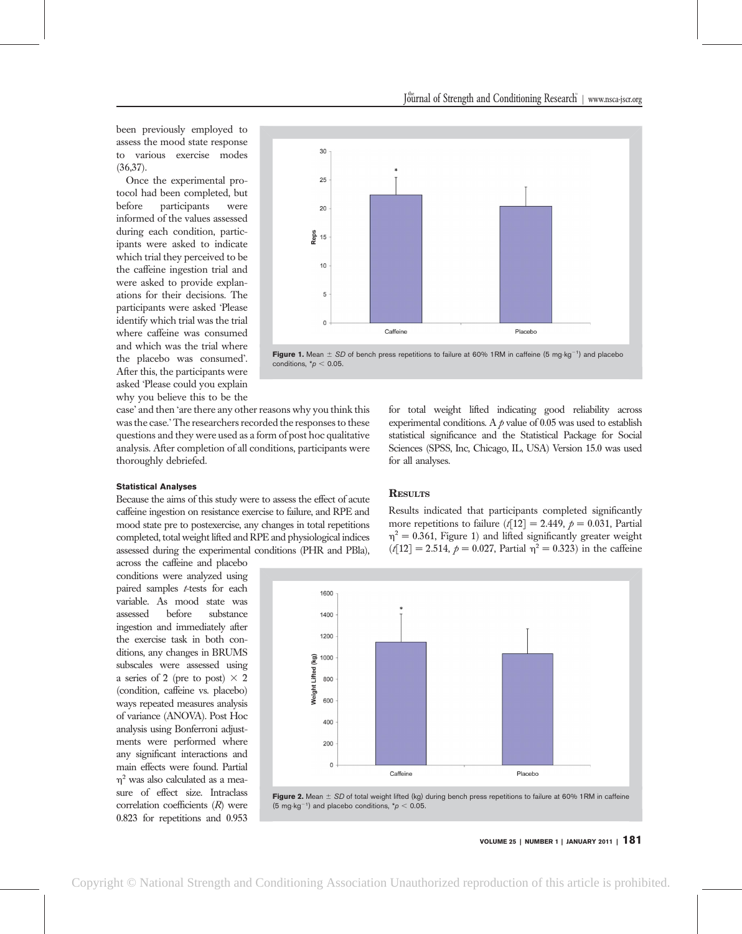been previously employed to assess the mood state response to various exercise modes (36,37).

Once the experimental protocol had been completed, but before participants were informed of the values assessed during each condition, participants were asked to indicate which trial they perceived to be the caffeine ingestion trial and were asked to provide explanations for their decisions. The participants were asked 'Please identify which trial was the trial where caffeine was consumed and which was the trial where the placebo was consumed. After this, the participants were asked 'Please could you explain why you believe this to be the



Figure 1. Mean  $\pm$  SD of bench press repetitions to failure at 60% 1RM in caffeine (5 mg·kg<sup>-1</sup>) and placebo conditions,  $p < 0.05$ .

case' and then 'are there any other reasons why you think this was the case. The researchers recorded the responses to these questions and they were used as a form of post hoc qualitative analysis. After completion of all conditions, participants were thoroughly debriefed.

#### Statistical Analyses

Because the aims of this study were to assess the effect of acute caffeine ingestion on resistance exercise to failure, and RPE and mood state pre to postexercise, any changes in total repetitions completed, total weight lifted and RPE and physiological indices assessed during the experimental conditions (PHR and PBla),

across the caffeine and placebo conditions were analyzed using paired samples t-tests for each variable. As mood state was assessed before substance ingestion and immediately after the exercise task in both conditions, any changes in BRUMS subscales were assessed using a series of 2 (pre to post)  $\times$  2 (condition, caffeine vs. placebo) ways repeated measures analysis of variance (ANOVA). Post Hoc analysis using Bonferroni adjustments were performed where any significant interactions and main effects were found. Partial  $n<sup>2</sup>$  was also calculated as a measure of effect size. Intraclass correlation coefficients (R) were 0.823 for repetitions and 0.953

#### **RESULTS**

for all analyses.

Results indicated that participants completed significantly more repetitions to failure ( $t[12] = 2.449$ ,  $p = 0.031$ , Partial  $\eta^2$  = 0.361, Figure 1) and lifted significantly greater weight  $(t[12] = 2.514, \ p = 0.027, \$  Partial  $\eta^2 = 0.323$ ) in the caffeine

for total weight lifted indicating good reliability across experimental conditions. A  $\rho$  value of 0.05 was used to establish statistical significance and the Statistical Package for Social Sciences (SPSS, Inc, Chicago, IL, USA) Version 15.0 was used



Figure 2. Mean  $\pm$  SD of total weight lifted (kg) during bench press repetitions to failure at 60% 1RM in caffeine (5 mg·kg<sup>-1</sup>) and placebo conditions,  $p < 0.05$ .

VOLUME 25 | NUMBER 1 | JANUARY 2011 | 181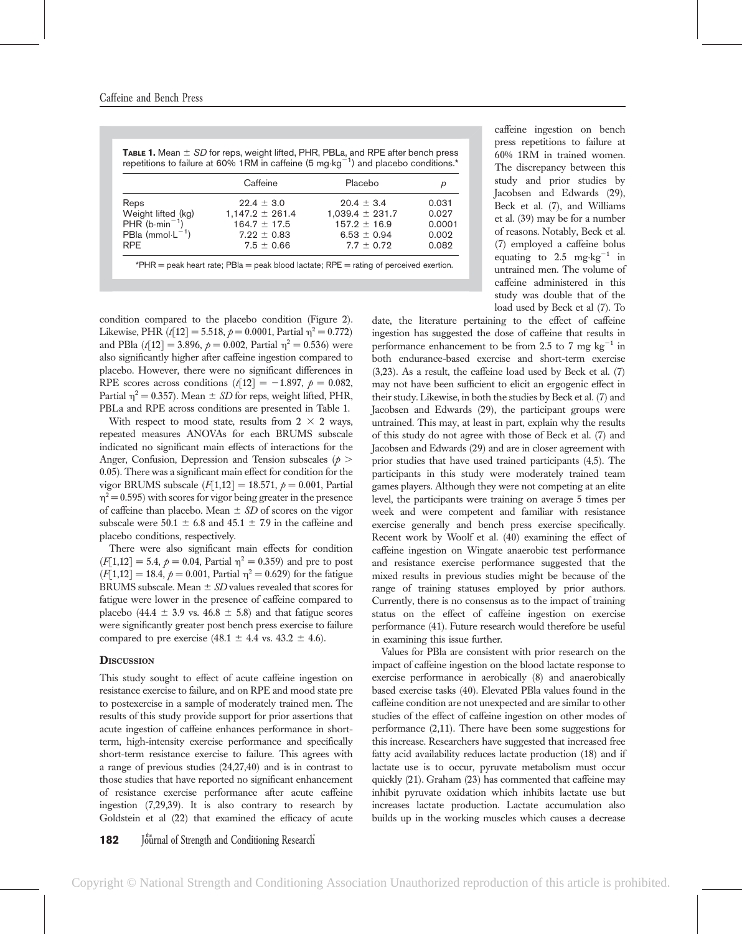| <b>Тавце 1.</b> Mean $\pm$ <i>SD</i> for reps, weight lifted, PHR, PBLa, and RPE after bench press |
|----------------------------------------------------------------------------------------------------|
| repetitions to failure at 60% 1RM in caffeine (5 mg $kg^{-1}$ ) and placebo conditions.*           |

|                                                                                                  | Caffeine                                                                                       | Placebo                                                                                    |                                            |
|--------------------------------------------------------------------------------------------------|------------------------------------------------------------------------------------------------|--------------------------------------------------------------------------------------------|--------------------------------------------|
| Reps<br>Weight lifted (kg)<br>PHR (b·min <sup>-1</sup> )<br>PBIa (mmol $-L^{-1}$ )<br><b>RPF</b> | $22.4 \pm 3.0$<br>$1,147.2 \pm 261.4$<br>$164.7 \pm 17.5$<br>$7.22 \pm 0.83$<br>$7.5 \pm 0.66$ | $20.4 + 3.4$<br>$1,039.4 \pm 231.7$<br>$157.2 \pm 16.9$<br>$6.53 \pm 0.94$<br>$7.7 + 0.72$ | 0.031<br>0.027<br>0.0001<br>0.002<br>0.082 |

 $*$ PHR = peak heart rate; PBIa = peak blood lactate; RPE = rating of perceived exertion.

condition compared to the placebo condition (Figure 2). Likewise, PHR ( $t[12] = 5.518$ ,  $\rho = 0.0001$ , Partial  $\eta^2 = 0.772$ ) and PBla ( $t[12] = 3.896$ ,  $p = 0.002$ , Partial  $\eta^2 = 0.536$ ) were also significantly higher after caffeine ingestion compared to placebo. However, there were no significant differences in RPE scores across conditions  $(t[12] = -1.897, p = 0.082,$ Partial  $\eta^2 = 0.357$ ). Mean  $\pm$  SD for reps, weight lifted, PHR, PBLa and RPE across conditions are presented in Table 1.

With respect to mood state, results from  $2 \times 2$  ways, repeated measures ANOVAs for each BRUMS subscale indicated no significant main effects of interactions for the Anger, Confusion, Depression and Tension subscales ( $p >$ 0.05). There was a significant main effect for condition for the vigor BRUMS subscale  $(F[1,12] = 18.571, p = 0.001,$  Partial  $\eta^2$  = 0.595) with scores for vigor being greater in the presence of caffeine than placebo. Mean  $\pm$  SD of scores on the vigor subscale were  $50.1 \pm 6.8$  and  $45.1 \pm 7.9$  in the caffeine and placebo conditions, respectively.

There were also significant main effects for condition  $(F[1,12] = 5.4, \ p = 0.04, \text{ Partial } \eta^2 = 0.359)$  and pre to post  $(F[1,12] = 18.4, p = 0.001,$  Partial  $p^2 = 0.629$  for the fatigue BRUMS subscale. Mean  $\pm$  SD values revealed that scores for fatigue were lower in the presence of caffeine compared to placebo (44.4  $\pm$  3.9 vs. 46.8  $\pm$  5.8) and that fatigue scores were significantly greater post bench press exercise to failure compared to pre exercise  $(48.1 \pm 4.4 \text{ vs. } 43.2 \pm 4.6)$ .

#### **DISCUSSION**

This study sought to effect of acute caffeine ingestion on resistance exercise to failure, and on RPE and mood state pre to postexercise in a sample of moderately trained men. The results of this study provide support for prior assertions that acute ingestion of caffeine enhances performance in shortterm, high-intensity exercise performance and specifically short-term resistance exercise to failure. This agrees with a range of previous studies (24,27,40) and is in contrast to those studies that have reported no significant enhancement of resistance exercise performance after acute caffeine ingestion (7,29,39). It is also contrary to research by Goldstein et al (22) that examined the efficacy of acute

caffeine ingestion on bench press repetitions to failure at 60% 1RM in trained women. The discrepancy between this study and prior studies by Jacobsen and Edwards (29), Beck et al. (7), and Williams et al. (39) may be for a number of reasons. Notably, Beck et al. (7) employed a caffeine bolus equating to  $2.5 \text{ mg} \cdot \text{kg}^{-1}$  in untrained men. The volume of caffeine administered in this study was double that of the load used by Beck et al (7). To

date, the literature pertaining to the effect of caffeine ingestion has suggested the dose of caffeine that results in performance enhancement to be from 2.5 to 7 mg  $kg^{-1}$  in both endurance-based exercise and short-term exercise (3,23). As a result, the caffeine load used by Beck et al. (7) may not have been sufficient to elicit an ergogenic effect in their study. Likewise, in both the studies by Beck et al. (7) and Jacobsen and Edwards (29), the participant groups were untrained. This may, at least in part, explain why the results of this study do not agree with those of Beck et al. (7) and Jacobsen and Edwards (29) and are in closer agreement with prior studies that have used trained participants (4,5). The participants in this study were moderately trained team games players. Although they were not competing at an elite level, the participants were training on average 5 times per week and were competent and familiar with resistance exercise generally and bench press exercise specifically. Recent work by Woolf et al. (40) examining the effect of caffeine ingestion on Wingate anaerobic test performance and resistance exercise performance suggested that the mixed results in previous studies might be because of the range of training statuses employed by prior authors. Currently, there is no consensus as to the impact of training status on the effect of caffeine ingestion on exercise performance (41). Future research would therefore be useful in examining this issue further.

Values for PBla are consistent with prior research on the impact of caffeine ingestion on the blood lactate response to exercise performance in aerobically (8) and anaerobically based exercise tasks (40). Elevated PBla values found in the caffeine condition are not unexpected and are similar to other studies of the effect of caffeine ingestion on other modes of performance (2,11). There have been some suggestions for this increase. Researchers have suggested that increased free fatty acid availability reduces lactate production (18) and if lactate use is to occur, pyruvate metabolism must occur quickly (21). Graham (23) has commented that caffeine may inhibit pyruvate oxidation which inhibits lactate use but increases lactate production. Lactate accumulation also builds up in the working muscles which causes a decrease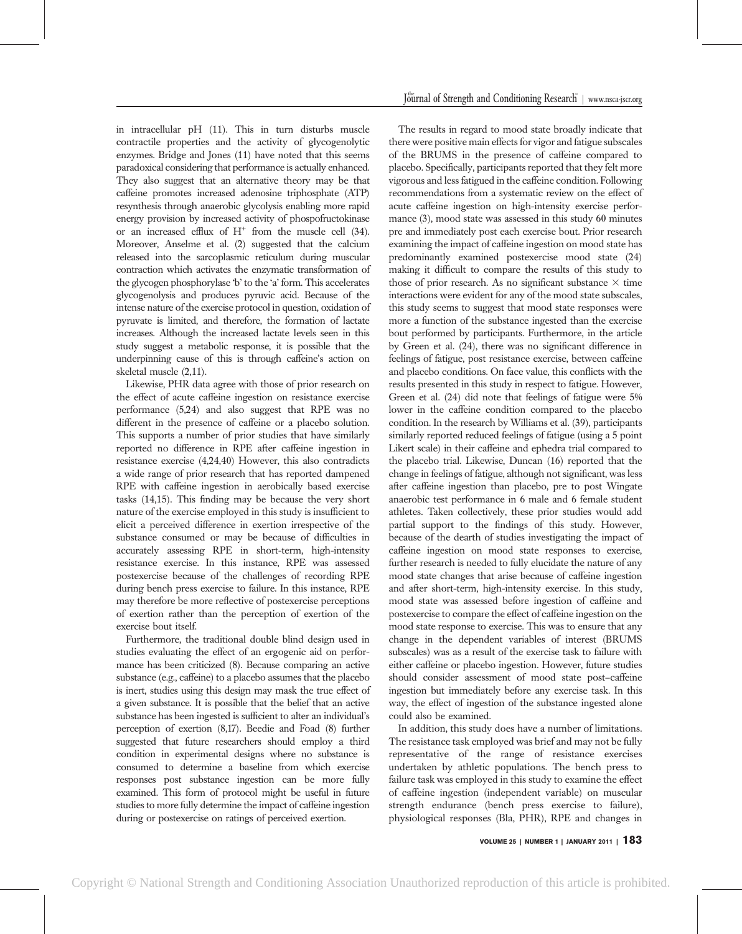in intracellular pH (11). This in turn disturbs muscle contractile properties and the activity of glycogenolytic enzymes. Bridge and Jones (11) have noted that this seems paradoxical considering that performance is actually enhanced. They also suggest that an alternative theory may be that caffeine promotes increased adenosine triphosphate (ATP) resynthesis through anaerobic glycolysis enabling more rapid energy provision by increased activity of phospofructokinase or an increased efflux of  $H^+$  from the muscle cell (34). Moreover, Anselme et al. (2) suggested that the calcium released into the sarcoplasmic reticulum during muscular contraction which activates the enzymatic transformation of the glycogen phosphorylase 'b' to the 'a' form. This accelerates glycogenolysis and produces pyruvic acid. Because of the intense nature of the exercise protocol in question, oxidation of pyruvate is limited, and therefore, the formation of lactate increases. Although the increased lactate levels seen in this study suggest a metabolic response, it is possible that the underpinning cause of this is through caffeine's action on skeletal muscle (2,11).

Likewise, PHR data agree with those of prior research on the effect of acute caffeine ingestion on resistance exercise performance (5,24) and also suggest that RPE was no different in the presence of caffeine or a placebo solution. This supports a number of prior studies that have similarly reported no difference in RPE after caffeine ingestion in resistance exercise (4,24,40) However, this also contradicts a wide range of prior research that has reported dampened RPE with caffeine ingestion in aerobically based exercise tasks (14,15). This finding may be because the very short nature of the exercise employed in this study is insufficient to elicit a perceived difference in exertion irrespective of the substance consumed or may be because of difficulties in accurately assessing RPE in short-term, high-intensity resistance exercise. In this instance, RPE was assessed postexercise because of the challenges of recording RPE during bench press exercise to failure. In this instance, RPE may therefore be more reflective of postexercise perceptions of exertion rather than the perception of exertion of the exercise bout itself.

Furthermore, the traditional double blind design used in studies evaluating the effect of an ergogenic aid on performance has been criticized (8). Because comparing an active substance (e.g., caffeine) to a placebo assumes that the placebo is inert, studies using this design may mask the true effect of a given substance. It is possible that the belief that an active substance has been ingested is sufficient to alter an individual's perception of exertion (8,17). Beedie and Foad (8) further suggested that future researchers should employ a third condition in experimental designs where no substance is consumed to determine a baseline from which exercise responses post substance ingestion can be more fully examined. This form of protocol might be useful in future studies to more fully determine the impact of caffeine ingestion during or postexercise on ratings of perceived exertion.

The results in regard to mood state broadly indicate that there were positive main effects for vigor and fatigue subscales of the BRUMS in the presence of caffeine compared to placebo. Specifically, participants reported that they felt more vigorous and less fatigued in the caffeine condition. Following recommendations from a systematic review on the effect of acute caffeine ingestion on high-intensity exercise performance (3), mood state was assessed in this study 60 minutes pre and immediately post each exercise bout. Prior research examining the impact of caffeine ingestion on mood state has predominantly examined postexercise mood state (24) making it difficult to compare the results of this study to those of prior research. As no significant substance  $\times$  time interactions were evident for any of the mood state subscales, this study seems to suggest that mood state responses were more a function of the substance ingested than the exercise bout performed by participants. Furthermore, in the article by Green et al. (24), there was no significant difference in feelings of fatigue, post resistance exercise, between caffeine and placebo conditions. On face value, this conflicts with the results presented in this study in respect to fatigue. However, Green et al. (24) did note that feelings of fatigue were 5% lower in the caffeine condition compared to the placebo condition. In the research by Williams et al. (39), participants similarly reported reduced feelings of fatigue (using a 5 point Likert scale) in their caffeine and ephedra trial compared to the placebo trial. Likewise, Duncan (16) reported that the change in feelings of fatigue, although not significant, was less after caffeine ingestion than placebo, pre to post Wingate anaerobic test performance in 6 male and 6 female student athletes. Taken collectively, these prior studies would add partial support to the findings of this study. However, because of the dearth of studies investigating the impact of caffeine ingestion on mood state responses to exercise, further research is needed to fully elucidate the nature of any mood state changes that arise because of caffeine ingestion and after short-term, high-intensity exercise. In this study, mood state was assessed before ingestion of caffeine and postexercise to compare the effect of caffeine ingestion on the mood state response to exercise. This was to ensure that any change in the dependent variables of interest (BRUMS subscales) was as a result of the exercise task to failure with either caffeine or placebo ingestion. However, future studies should consider assessment of mood state post–caffeine ingestion but immediately before any exercise task. In this way, the effect of ingestion of the substance ingested alone could also be examined.

In addition, this study does have a number of limitations. The resistance task employed was brief and may not be fully representative of the range of resistance exercises undertaken by athletic populations. The bench press to failure task was employed in this study to examine the effect of caffeine ingestion (independent variable) on muscular strength endurance (bench press exercise to failure), physiological responses (Bla, PHR), RPE and changes in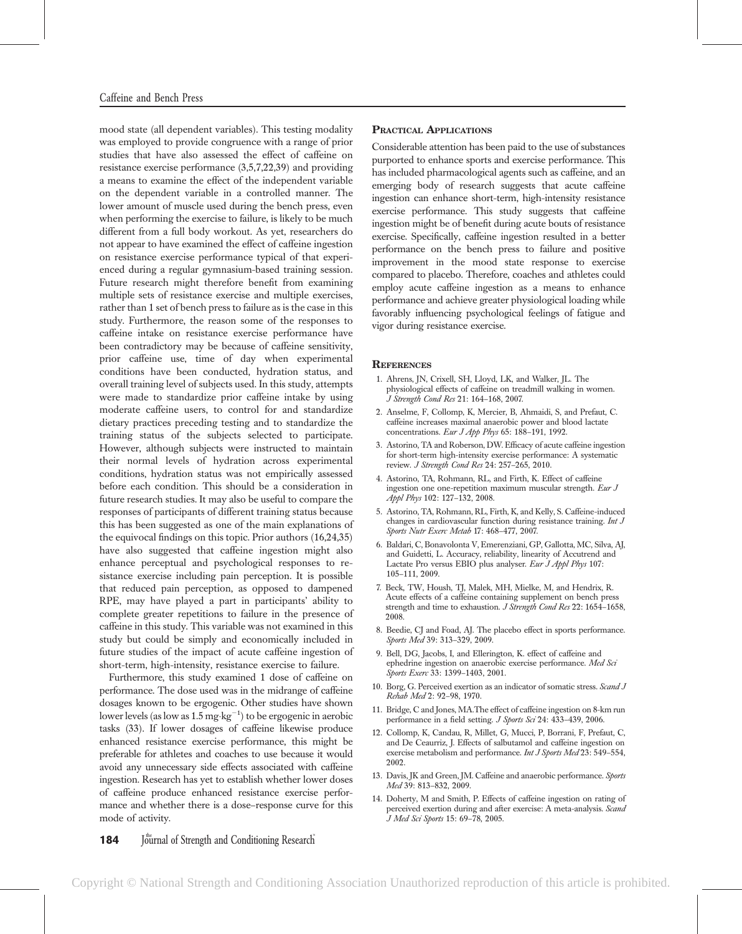mood state (all dependent variables). This testing modality was employed to provide congruence with a range of prior studies that have also assessed the effect of caffeine on resistance exercise performance (3,5,7,22,39) and providing a means to examine the effect of the independent variable on the dependent variable in a controlled manner. The lower amount of muscle used during the bench press, even when performing the exercise to failure, is likely to be much different from a full body workout. As yet, researchers do not appear to have examined the effect of caffeine ingestion on resistance exercise performance typical of that experienced during a regular gymnasium-based training session. Future research might therefore benefit from examining multiple sets of resistance exercise and multiple exercises, rather than 1 set of bench press to failure as is the case in this study. Furthermore, the reason some of the responses to caffeine intake on resistance exercise performance have been contradictory may be because of caffeine sensitivity, prior caffeine use, time of day when experimental conditions have been conducted, hydration status, and overall training level of subjects used. In this study, attempts were made to standardize prior caffeine intake by using moderate caffeine users, to control for and standardize dietary practices preceding testing and to standardize the training status of the subjects selected to participate. However, although subjects were instructed to maintain their normal levels of hydration across experimental conditions, hydration status was not empirically assessed before each condition. This should be a consideration in future research studies. It may also be useful to compare the responses of participants of different training status because this has been suggested as one of the main explanations of the equivocal findings on this topic. Prior authors (16,24,35) have also suggested that caffeine ingestion might also enhance perceptual and psychological responses to resistance exercise including pain perception. It is possible that reduced pain perception, as opposed to dampened RPE, may have played a part in participants' ability to complete greater repetitions to failure in the presence of caffeine in this study. This variable was not examined in this study but could be simply and economically included in future studies of the impact of acute caffeine ingestion of short-term, high-intensity, resistance exercise to failure.

Furthermore, this study examined 1 dose of caffeine on performance. The dose used was in the midrange of caffeine dosages known to be ergogenic. Other studies have shown lower levels (as low as  $1.5 \,\mathrm{mg}\cdot\mathrm{kg}^{-1}$ ) to be ergogenic in aerobic tasks (33). If lower dosages of caffeine likewise produce enhanced resistance exercise performance, this might be preferable for athletes and coaches to use because it would avoid any unnecessary side effects associated with caffeine ingestion. Research has yet to establish whether lower doses of caffeine produce enhanced resistance exercise performance and whether there is a dose–response curve for this mode of activity.

# PRACTICAL APPLICATIONS

Considerable attention has been paid to the use of substances purported to enhance sports and exercise performance. This has included pharmacological agents such as caffeine, and an emerging body of research suggests that acute caffeine ingestion can enhance short-term, high-intensity resistance exercise performance. This study suggests that caffeine ingestion might be of benefit during acute bouts of resistance exercise. Specifically, caffeine ingestion resulted in a better performance on the bench press to failure and positive improvement in the mood state response to exercise compared to placebo. Therefore, coaches and athletes could employ acute caffeine ingestion as a means to enhance performance and achieve greater physiological loading while favorably influencing psychological feelings of fatigue and vigor during resistance exercise.

#### **REFERENCES**

- 1. Ahrens, JN, Crixell, SH, Lloyd, LK, and Walker, JL. The physiological effects of caffeine on treadmill walking in women. J Strength Cond Res 21: 164–168, 2007.
- 2. Anselme, F, Collomp, K, Mercier, B, Ahmaidi, S, and Prefaut, C. caffeine increases maximal anaerobic power and blood lactate concentrations. Eur J App Phys 65: 188–191, 1992.
- 3. Astorino, TA and Roberson, DW. Efficacy of acute caffeine ingestion for short-term high-intensity exercise performance: A systematic review. J Strength Cond Res 24: 257–265, 2010.
- 4. Astorino, TA, Rohmann, RL, and Firth, K. Effect of caffeine ingestion one one-repetition maximum muscular strength. Eur J Appl Phys 102: 127–132, 2008.
- 5. Astorino, TA, Rohmann, RL, Firth, K, and Kelly, S. Caffeine-induced changes in cardiovascular function during resistance training. Int J Sports Nutr Exerc Metab 17: 468-477, 2007.
- 6. Baldari, C, Bonavolonta V, Emerenziani, GP, Gallotta, MC, Silva, AJ, and Guidetti, L. Accuracy, reliability, linearity of Accutrend and Lactate Pro versus EBIO plus analyser. Eur J Appl Phys 107: 105–111, 2009.
- 7. Beck, TW, Housh, TJ, Malek, MH, Mielke, M, and Hendrix, R. Acute effects of a caffeine containing supplement on bench press strength and time to exhaustion. J Strength Cond Res 22: 1654-1658, 2008.
- 8. Beedie, CJ and Foad, AJ. The placebo effect in sports performance. Sports Med 39: 313–329, 2009.
- 9. Bell, DG, Jacobs, I, and Ellerington, K. effect of caffeine and ephedrine ingestion on anaerobic exercise performance. Med Sci Sports Exerc 33: 1399-1403, 2001.
- 10. Borg, G. Perceived exertion as an indicator of somatic stress. Scand J Rehab Med 2: 92–98, 1970.
- 11. Bridge, C and Jones, MA.The effect of caffeine ingestion on 8-km run performance in a field setting. J Sports Sci 24: 433-439, 2006.
- 12. Collomp, K, Candau, R, Millet, G, Mucci, P, Borrani, F, Prefaut, C, and De Ceaurriz, J. Effects of salbutamol and caffeine ingestion on exercise metabolism and performance. Int J Sports Med 23: 549-554, 2002.
- 13. Davis, JK and Green, JM. Caffeine and anaerobic performance. Sports Med 39: 813–832, 2009.
- 14. Doherty, M and Smith, P. Effects of caffeine ingestion on rating of perceived exertion during and after exercise: A meta-analysis. Scand J Med Sci Sports 15: 69–78, 2005.

**184** Journal of Strength and Conditioning Research